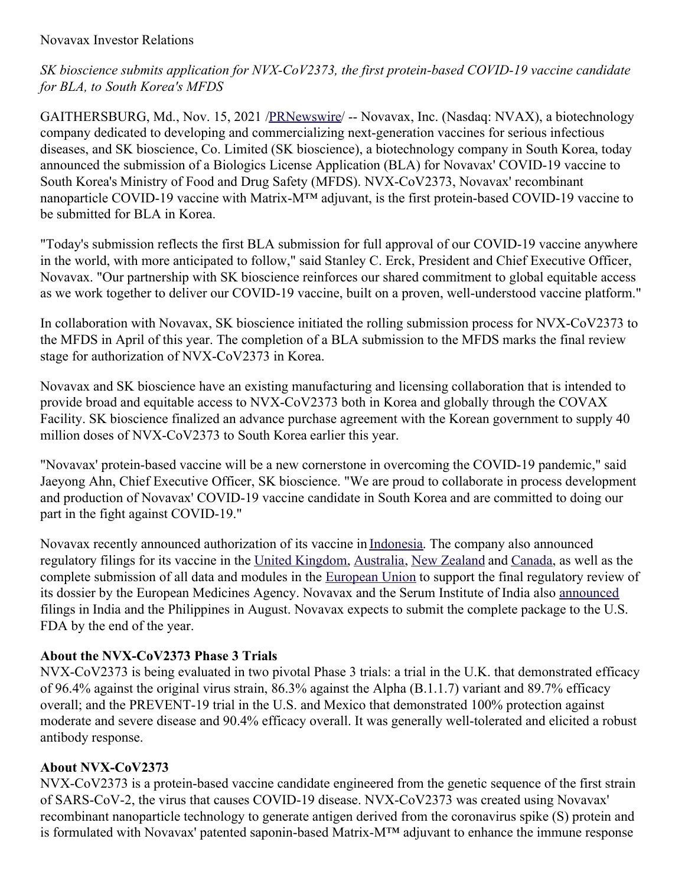## *SK bioscience submits application for NVX-CoV2373, the first protein-based COVID-19 vaccine candidate for BLA, to South Korea's MFDS*

GAITHERSBURG, Md., Nov. 15, 2021 [/PRNewswire](http://www.prnewswire.com/)/ -- Novavax, Inc. (Nasdaq: NVAX), a biotechnology company dedicated to developing and commercializing next-generation vaccines for serious infectious diseases, and SK bioscience, Co. Limited (SK bioscience), a biotechnology company in South Korea, today announced the submission of a Biologics License Application (BLA) for Novavax' COVID-19 vaccine to South Korea's Ministry of Food and Drug Safety (MFDS). NVX-CoV2373, Novavax' recombinant nanoparticle COVID-19 vaccine with Matrix-M™ adjuvant, is the first protein-based COVID-19 vaccine to be submitted for BLA in Korea.

"Today's submission reflects the first BLA submission for full approval of our COVID-19 vaccine anywhere in the world, with more anticipated to follow," said Stanley C. Erck, President and Chief Executive Officer, Novavax. "Our partnership with SK bioscience reinforces our shared commitment to global equitable access as we work together to deliver our COVID-19 vaccine, built on a proven, well-understood vaccine platform."

In collaboration with Novavax, SK bioscience initiated the rolling submission process for NVX-CoV2373 to the MFDS in April of this year. The completion of a BLA submission to the MFDS marks the final review stage for authorization of NVX-CoV2373 in Korea.

Novavax and SK bioscience have an existing manufacturing and licensing collaboration that is intended to provide broad and equitable access to NVX-CoV2373 both in Korea and globally through the COVAX Facility. SK bioscience finalized an advance purchase agreement with the Korean government to supply 40 million doses of NVX-CoV2373 to South Korea earlier this year.

"Novavax' protein-based vaccine will be a new cornerstone in overcoming the COVID-19 pandemic," said Jaeyong Ahn, Chief Executive Officer, SK bioscience. "We are proud to collaborate in process development and production of Novavax' COVID-19 vaccine candidate in South Korea and are committed to doing our part in the fight against COVID-19."

Novavax recently announced authorization of its vaccine in [Indonesia](https://c212.net/c/link/?t=0&l=en&o=3359043-1&h=52407111&u=https%3A%2F%2Fir.novavax.com%2F2021-11-01-Novavax-and-Serum-Institute-of-India-Receive-Emergency-Use-Authorization-for-COVID-19-Vaccine-in-Indonesia&a=Indonesia). The company also announced regulatory filings for its vaccine in the United [Kingdom](https://c212.net/c/link/?t=0&l=en&o=3359043-1&h=2939395116&u=https%3A%2F%2Fc212.net%2Fc%2Flink%2F%3Ft%3D0%26l%3Den%26o%3D3348079-1%26h%3D2153679114%26u%3Dhttps%253A%252F%252Fir.novavax.com%252F2021-10-27-Novavax-Files-for-Authorization-of-its-COVID-19-Vaccine-in-the-United-Kingdom%26a%3DUnited%2BKingdom&a=United+Kingdom), [Australia](https://c212.net/c/link/?t=0&l=en&o=3359043-1&h=2753122397&u=https%3A%2F%2Fc212.net%2Fc%2Flink%2F%3Ft%3D0%26l%3Den%26o%3D3348079-1%26h%3D3607676997%26u%3Dhttps%253A%252F%252Fir.novavax.com%252F2021-10-29-Novavax-Files-for-Provisional-Approval-of-its-COVID-19-Vaccine-in-Australia%26a%3DAustralia&a=Australia), New [Zealand](https://c212.net/c/link/?t=0&l=en&o=3359043-1&h=1056305377&u=https%3A%2F%2Fc212.net%2Fc%2Flink%2F%3Ft%3D0%26l%3Den%26o%3D3348079-1%26h%3D19248320%26u%3Dhttps%253A%252F%252Fir.novavax.com%252F2021-11-03-Novavax-Files-COVID-19-Vaccine-for-Provisional-Approval-in-New-Zealand%26a%3DNew%2BZealand&a=New+Zealand) and [Canada](https://c212.net/c/link/?t=0&l=en&o=3359043-1&h=1224881212&u=https%3A%2F%2Fir.novavax.com%2F2021-11-01-Novavax-Files-for-COVID-19-Vaccine-Authorization-with-Health-Canada-and-Completes-Submission-for-Rolling-Review-to-European-Medicines-Agency&a=Canada), as well as the complete submission of all data and modules in the [European](https://c212.net/c/link/?t=0&l=en&o=3359043-1&h=2829610076&u=https%3A%2F%2Fc212.net%2Fc%2Flink%2F%3Ft%3D0%26l%3Den%26o%3D3348079-1%26h%3D3041693992%26u%3Dhttps%253A%252F%252Fir.novavax.com%252F2021-11-01-Novavax-Files-for-COVID-19-Vaccine-Authorization-with-Health-Canada-and-Completes-Submission-for-Rolling-Review-to-European-Medicines-Agency%26a%3DEuropean%2BUnion&a=European+Union) Union to support the final regulatory review of its dossier by the European Medicines Agency. Novavax and the Serum Institute of India also [announced](https://c212.net/c/link/?t=0&l=en&o=3359043-1&h=205155404&u=https%3A%2F%2Fir.novavax.com%2F2021-08-05-Novavax-and-Serum-Institute-of-India-Announce-Submission-to-Regulatory-Agencies-in-India%2C-Indonesia%2C-Philippines-for-Emergency-Use-Authorization-of-Novavax-Recombinant-Nanoparticle-COVID-19-Vaccine&a=announced) filings in India and the Philippines in August. Novavax expects to submit the complete package to the U.S. FDA by the end of the year.

# **About the NVX-CoV2373 Phase 3 Trials**

NVX-CoV2373 is being evaluated in two pivotal Phase 3 trials: a trial in the U.K. that demonstrated efficacy of 96.4% against the original virus strain, 86.3% against the Alpha (B.1.1.7) variant and 89.7% efficacy overall; and the PREVENT-19 trial in the U.S. and Mexico that demonstrated 100% protection against moderate and severe disease and 90.4% efficacy overall. It was generally well-tolerated and elicited a robust antibody response.

# **About NVX-CoV2373**

NVX-CoV2373 is a protein-based vaccine candidate engineered from the genetic sequence of the first strain of SARS-CoV-2, the virus that causes COVID-19 disease. NVX-CoV2373 was created using Novavax' recombinant nanoparticle technology to generate antigen derived from the coronavirus spike (S) protein and is formulated with Novavax' patented saponin-based Matrix-M™ adjuvant to enhance the immune response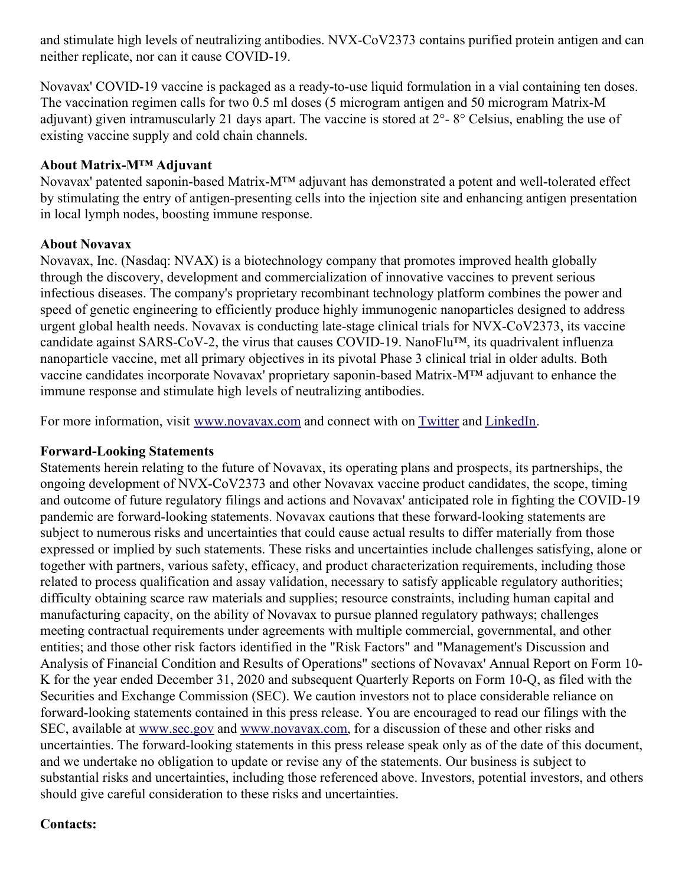and stimulate high levels of neutralizing antibodies. NVX-CoV2373 contains purified protein antigen and can neither replicate, nor can it cause COVID-19.

Novavax' COVID-19 vaccine is packaged as a ready-to-use liquid formulation in a vial containing ten doses. The vaccination regimen calls for two 0.5 ml doses (5 microgram antigen and 50 microgram Matrix-M adjuvant) given intramuscularly 21 days apart. The vaccine is stored at 2°- 8° Celsius, enabling the use of existing vaccine supply and cold chain channels.

### **About Matrix-M™ Adjuvant**

Novavax' patented saponin-based Matrix-M™ adjuvant has demonstrated a potent and well-tolerated effect by stimulating the entry of antigen-presenting cells into the injection site and enhancing antigen presentation in local lymph nodes, boosting immune response.

#### **About Novavax**

Novavax, Inc. (Nasdaq: NVAX) is a biotechnology company that promotes improved health globally through the discovery, development and commercialization of innovative vaccines to prevent serious infectious diseases. The company's proprietary recombinant technology platform combines the power and speed of genetic engineering to efficiently produce highly immunogenic nanoparticles designed to address urgent global health needs. Novavax is conducting late-stage clinical trials for NVX-CoV2373, its vaccine candidate against SARS-CoV-2, the virus that causes COVID-19. NanoFlu™, its quadrivalent influenza nanoparticle vaccine, met all primary objectives in its pivotal Phase 3 clinical trial in older adults. Both vaccine candidates incorporate Novavax' proprietary saponin-based Matrix-M™ adjuvant to enhance the immune response and stimulate high levels of neutralizing antibodies.

For more information, visit [www.novavax.com](https://c212.net/c/link/?t=0&l=en&o=3359043-1&h=3373885554&u=http%3A%2F%2Fwww.novavax.com%2F&a=www.novavax.com) and connect with on [Twitter](https://c212.net/c/link/?t=0&l=en&o=3359043-1&h=3413556452&u=https%3A%2F%2Fc212.net%2Fc%2Flink%2F%3Ft%3D0%26l%3Den%26o%3D3348079-1%26h%3D3640852501%26u%3Dhttps%253A%252F%252Fc212.net%252Fc%252Flink%252F%253Ft%253D0%2526l%253Den%2526o%253D3260461-1%2526h%253D1316526774%2526u%253Dhttps%25253A%25252F%25252Fc212.net%25252Fc%25252Flink%25252F%25253Ft%25253D0%252526l%25253Den%252526o%25253D3158017-1%252526h%25253D500821283%252526u%25253Dhttps%2525253A%2525252F%2525252Ftwitter.com%2525252FNovavax%252526a%25253DTwitter%2526a%253DTwitter%26a%3DTwitter&a=Twitter) and [LinkedIn](https://c212.net/c/link/?t=0&l=en&o=3359043-1&h=88319436&u=https%3A%2F%2Fc212.net%2Fc%2Flink%2F%3Ft%3D0%26l%3Den%26o%3D3348079-1%26h%3D2701640386%26u%3Dhttps%253A%252F%252Fc212.net%252Fc%252Flink%252F%253Ft%253D0%2526l%253Den%2526o%253D3260461-1%2526h%253D1508558197%2526u%253Dhttps%25253A%25252F%25252Fc212.net%25252Fc%25252Flink%25252F%25253Ft%25253D0%252526l%25253Den%252526o%25253D3158017-1%252526h%25253D3702938248%252526u%25253Dhttps%2525253A%2525252F%2525252Fwww.linkedin.com%2525252Fcompany%2525252Fnovavax%2525252F%252526a%25253DLinkedIn%2526a%253DLinkedIn%26a%3DLinkedIn&a=LinkedIn).

### **Forward-Looking Statements**

Statements herein relating to the future of Novavax, its operating plans and prospects, its partnerships, the ongoing development of NVX-CoV2373 and other Novavax vaccine product candidates, the scope, timing and outcome of future regulatory filings and actions and Novavax' anticipated role in fighting the COVID-19 pandemic are forward-looking statements. Novavax cautions that these forward-looking statements are subject to numerous risks and uncertainties that could cause actual results to differ materially from those expressed or implied by such statements. These risks and uncertainties include challenges satisfying, alone or together with partners, various safety, efficacy, and product characterization requirements, including those related to process qualification and assay validation, necessary to satisfy applicable regulatory authorities; difficulty obtaining scarce raw materials and supplies; resource constraints, including human capital and manufacturing capacity, on the ability of Novavax to pursue planned regulatory pathways; challenges meeting contractual requirements under agreements with multiple commercial, governmental, and other entities; and those other risk factors identified in the "Risk Factors" and "Management's Discussion and Analysis of Financial Condition and Results of Operations" sections of Novavax' Annual Report on Form 10- K for the year ended December 31, 2020 and subsequent Quarterly Reports on Form 10-Q, as filed with the Securities and Exchange Commission (SEC). We caution investors not to place considerable reliance on forward-looking statements contained in this press release. You are encouraged to read our filings with the SEC, available at [www.sec.gov](https://c212.net/c/link/?t=0&l=en&o=3359043-1&h=3025564943&u=https%3A%2F%2Fc212.net%2Fc%2Flink%2F%3Ft%3D0%26l%3Den%26o%3D3348079-1%26h%3D2112259080%26u%3Dhttp%253A%252F%252Fwww.sec.gov%252F%26a%3Dwww.sec.gov&a=www.sec.gov) and [www.novavax.com](https://c212.net/c/link/?t=0&l=en&o=3359043-1&h=113538589&u=https%3A%2F%2Fc212.net%2Fc%2Flink%2F%3Ft%3D0%26l%3Den%26o%3D3348079-1%26h%3D2027739288%26u%3Dhttp%253A%252F%252Fwww.novavax.com%252F%26a%3Dwww.novavax.com&a=www.novavax.com), for a discussion of these and other risks and uncertainties. The forward-looking statements in this press release speak only as of the date of this document, and we undertake no obligation to update or revise any of the statements. Our business is subject to substantial risks and uncertainties, including those referenced above. Investors, potential investors, and others should give careful consideration to these risks and uncertainties.

### **Contacts:**